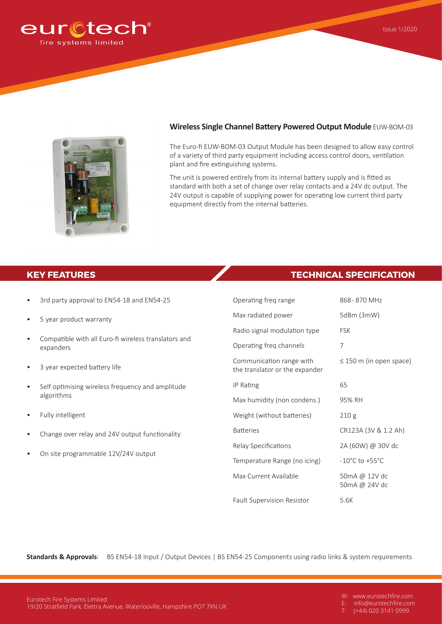



## **Wireless Single Channel Battery Powered Output Module** EUW-BOM-03

The Euro-fi EUW-BOM-03 Output Module has been designed to allow easy control of a variety of third party equipment including access control doors, ventilation plant and fire extinguishing systems.

The unit is powered entirely from its internal battery supply and is fitted as standard with both a set of change over relay contacts and a 24V dc output. The 24V output is capable of supplying power for operating low current third party equipment directly from the internal batteries.

## **KEY FEATURES TECHNICAL SPECIFICATION**

| $\bullet$ | 3rd party approval to EN54-18 and EN54-25                         | Operating freq range                                       | 868-870 MHz                        |
|-----------|-------------------------------------------------------------------|------------------------------------------------------------|------------------------------------|
| $\bullet$ | 5 year product warranty                                           | Max radiated power                                         | 5dBm (3mW)                         |
|           |                                                                   | Radio signal modulation type                               | <b>FSK</b>                         |
| $\bullet$ | Compatible with all Euro-fi wireless translators and<br>expanders | Operating freq channels                                    | 7                                  |
| $\bullet$ | 3 year expected battery life                                      | Communication range with<br>the translator or the expander | $\leq$ 150 m (in open space)       |
| $\bullet$ | Self optimising wireless frequency and amplitude<br>algorithms    | IP Rating                                                  | 65                                 |
|           |                                                                   | Max humidity (non condens.)                                | 95% RH                             |
| $\bullet$ | Fully intelligent                                                 | Weight (without batteries)                                 | 210g                               |
| $\bullet$ | Change over relay and 24V output functionality                    | <b>Batteries</b>                                           | CR123A (3V & 1.2 Ah)               |
| $\bullet$ | On site programmable 12V/24V output                               | Relay Specifications                                       | 2A (60W) @ 30V dc                  |
|           |                                                                   | Temperature Range (no icing)                               | $-10^{\circ}$ C to $+55^{\circ}$ C |
|           |                                                                   | Max Current Available                                      | 50mA @ 12V dc<br>50mA @ 24V dc     |

Fault Supervision Resistor 5.6K

**Standards & Approvals**: BS EN54-18 Input / Output Devices | BS EN54-25 Components using radio links & system requirements

W: www.eurotechfire.com<br>E: info@eurotechfire.com info@eurotechfire.com

 $(+44)$  020 3141 0999